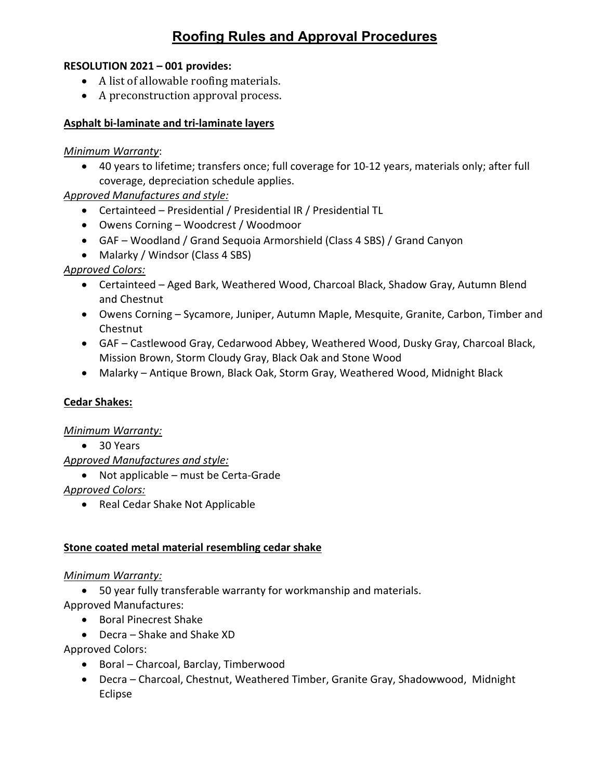# **Roofing Rules and Approval Procedures**

#### **RESOLUTION 2021 – 001 provides:**

- A list of allowable roofing materials.
- A preconstruction approval process.

#### **Asphalt bi-laminate and tri-laminate layers**

#### *Minimum Warranty*:

• 40 years to lifetime; transfers once; full coverage for 10-12 years, materials only; after full coverage, depreciation schedule applies.

# *Approved Manufactures and style:*

- Certainteed Presidential / Presidential IR / Presidential TL
- Owens Corning Woodcrest / Woodmoor
- GAF Woodland / Grand Sequoia Armorshield (Class 4 SBS) / Grand Canyon
- Malarky / Windsor (Class 4 SBS)

# *Approved Colors:*

- Certainteed Aged Bark, Weathered Wood, Charcoal Black, Shadow Gray, Autumn Blend and Chestnut
- Owens Corning Sycamore, Juniper, Autumn Maple, Mesquite, Granite, Carbon, Timber and Chestnut
- GAF Castlewood Gray, Cedarwood Abbey, Weathered Wood, Dusky Gray, Charcoal Black, Mission Brown, Storm Cloudy Gray, Black Oak and Stone Wood
- Malarky Antique Brown, Black Oak, Storm Gray, Weathered Wood, Midnight Black

# **Cedar Shakes:**

#### *Minimum Warranty:*

• 30 Years

# *Approved Manufactures and style:*

• Not applicable – must be Certa-Grade

# *Approved Colors:*

• Real Cedar Shake Not Applicable

# **Stone coated metal material resembling cedar shake**

# *Minimum Warranty:*

- 50 year fully transferable warranty for workmanship and materials.
- Approved Manufactures:
	- Boral Pinecrest Shake
	- Decra Shake and Shake XD

Approved Colors:

- Boral Charcoal, Barclay, Timberwood
- Decra Charcoal, Chestnut, Weathered Timber, Granite Gray, Shadowwood, Midnight Eclipse